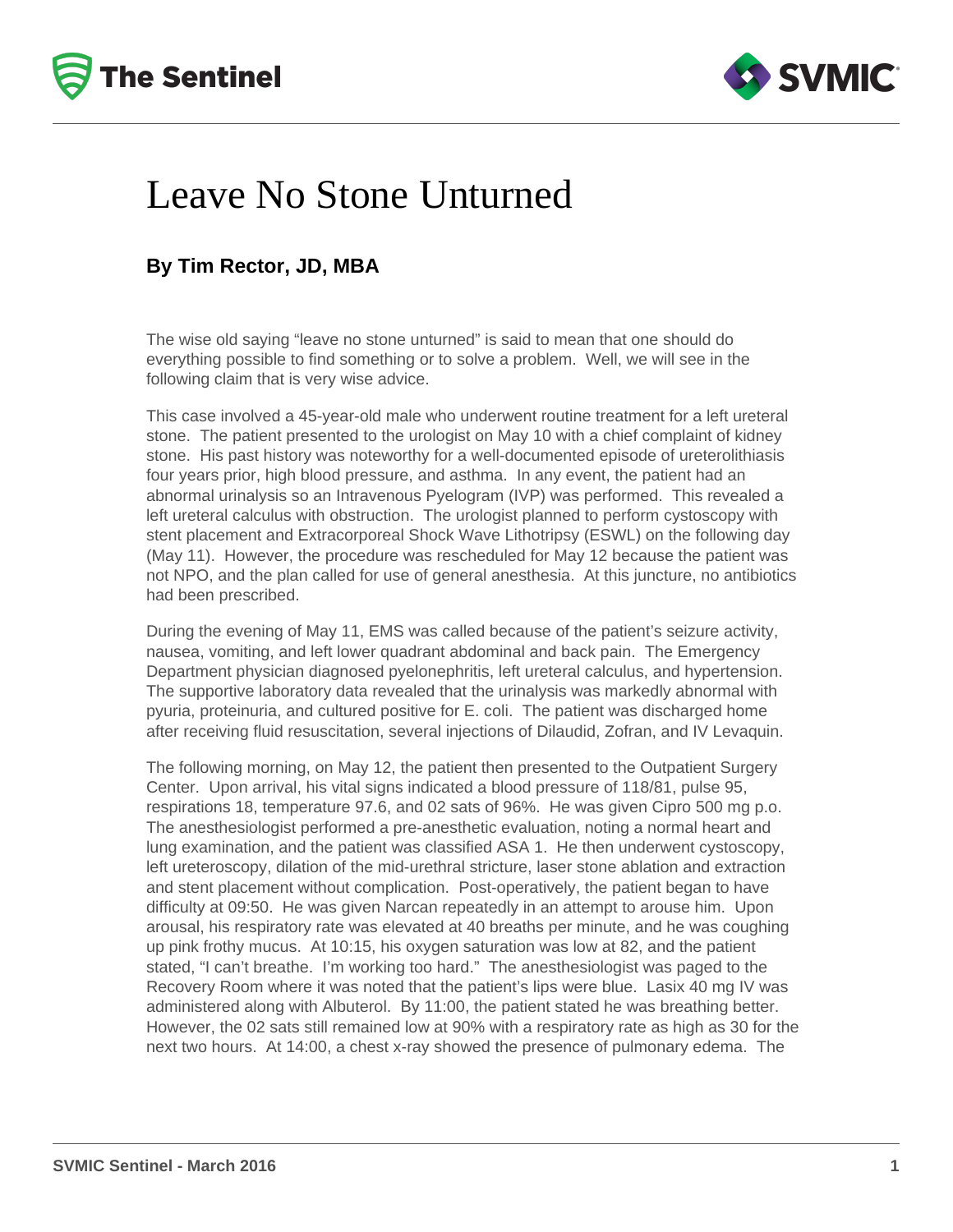



## Leave No Stone Unturned

## **By Tim Rector, JD, MBA**

The wise old saying "leave no stone unturned" is said to mean that one should do everything possible to find something or to solve a problem. Well, we will see in the following claim that is very wise advice.

This case involved a 45-year-old male who underwent routine treatment for a left ureteral stone. The patient presented to the urologist on May 10 with a chief complaint of kidney stone. His past history was noteworthy for a well-documented episode of ureterolithiasis four years prior, high blood pressure, and asthma. In any event, the patient had an abnormal urinalysis so an Intravenous Pyelogram (IVP) was performed. This revealed a left ureteral calculus with obstruction. The urologist planned to perform cystoscopy with stent placement and Extracorporeal Shock Wave Lithotripsy (ESWL) on the following day (May 11). However, the procedure was rescheduled for May 12 because the patient was not NPO, and the plan called for use of general anesthesia. At this juncture, no antibiotics had been prescribed.

During the evening of May 11, EMS was called because of the patient's seizure activity, nausea, vomiting, and left lower quadrant abdominal and back pain. The Emergency Department physician diagnosed pyelonephritis, left ureteral calculus, and hypertension. The supportive laboratory data revealed that the urinalysis was markedly abnormal with pyuria, proteinuria, and cultured positive for E. coli. The patient was discharged home after receiving fluid resuscitation, several injections of Dilaudid, Zofran, and IV Levaquin.

The following morning, on May 12, the patient then presented to the Outpatient Surgery Center. Upon arrival, his vital signs indicated a blood pressure of 118/81, pulse 95, respirations 18, temperature 97.6, and 02 sats of 96%. He was given Cipro 500 mg p.o. The anesthesiologist performed a pre-anesthetic evaluation, noting a normal heart and lung examination, and the patient was classified ASA 1. He then underwent cystoscopy, left ureteroscopy, dilation of the mid-urethral stricture, laser stone ablation and extraction and stent placement without complication. Post-operatively, the patient began to have difficulty at 09:50. He was given Narcan repeatedly in an attempt to arouse him. Upon arousal, his respiratory rate was elevated at 40 breaths per minute, and he was coughing up pink frothy mucus. At 10:15, his oxygen saturation was low at 82, and the patient stated, "I can't breathe. I'm working too hard." The anesthesiologist was paged to the Recovery Room where it was noted that the patient's lips were blue. Lasix 40 mg IV was administered along with Albuterol. By 11:00, the patient stated he was breathing better. However, the 02 sats still remained low at 90% with a respiratory rate as high as 30 for the next two hours. At 14:00, a chest x-ray showed the presence of pulmonary edema. The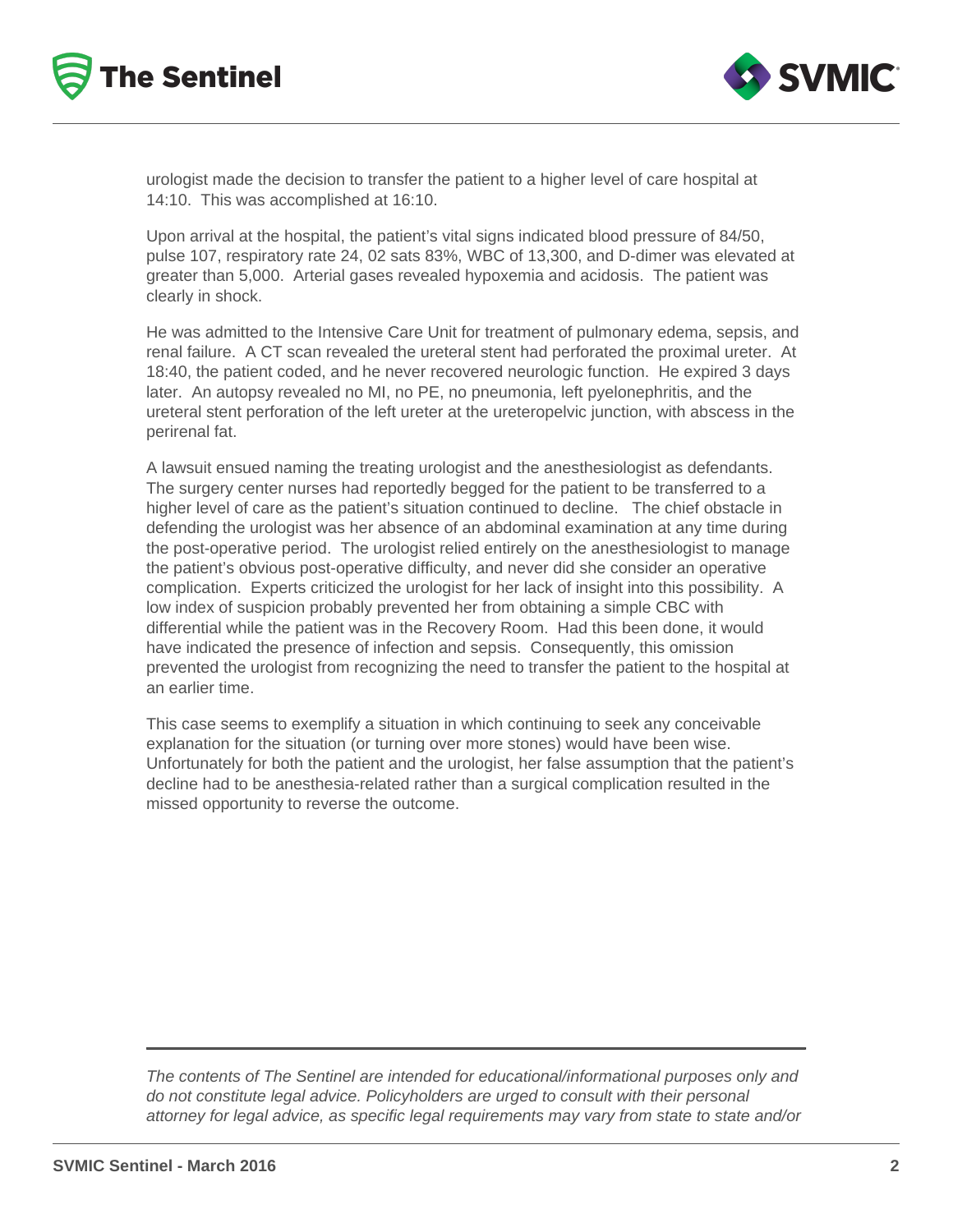



urologist made the decision to transfer the patient to a higher level of care hospital at 14:10. This was accomplished at 16:10.

Upon arrival at the hospital, the patient's vital signs indicated blood pressure of 84/50, pulse 107, respiratory rate 24, 02 sats 83%, WBC of 13,300, and D-dimer was elevated at greater than 5,000. Arterial gases revealed hypoxemia and acidosis. The patient was clearly in shock.

He was admitted to the Intensive Care Unit for treatment of pulmonary edema, sepsis, and renal failure. A CT scan revealed the ureteral stent had perforated the proximal ureter. At 18:40, the patient coded, and he never recovered neurologic function. He expired 3 days later. An autopsy revealed no MI, no PE, no pneumonia, left pyelonephritis, and the ureteral stent perforation of the left ureter at the ureteropelvic junction, with abscess in the perirenal fat.

A lawsuit ensued naming the treating urologist and the anesthesiologist as defendants. The surgery center nurses had reportedly begged for the patient to be transferred to a higher level of care as the patient's situation continued to decline. The chief obstacle in defending the urologist was her absence of an abdominal examination at any time during the post-operative period. The urologist relied entirely on the anesthesiologist to manage the patient's obvious post-operative difficulty, and never did she consider an operative complication. Experts criticized the urologist for her lack of insight into this possibility. A low index of suspicion probably prevented her from obtaining a simple CBC with differential while the patient was in the Recovery Room. Had this been done, it would have indicated the presence of infection and sepsis. Consequently, this omission prevented the urologist from recognizing the need to transfer the patient to the hospital at an earlier time.

This case seems to exemplify a situation in which continuing to seek any conceivable explanation for the situation (or turning over more stones) would have been wise. Unfortunately for both the patient and the urologist, her false assumption that the patient's decline had to be anesthesia-related rather than a surgical complication resulted in the missed opportunity to reverse the outcome.

The contents of The Sentinel are intended for educational/informational purposes only and do not constitute legal advice. Policyholders are urged to consult with their personal attorney for legal advice, as specific legal requirements may vary from state to state and/or